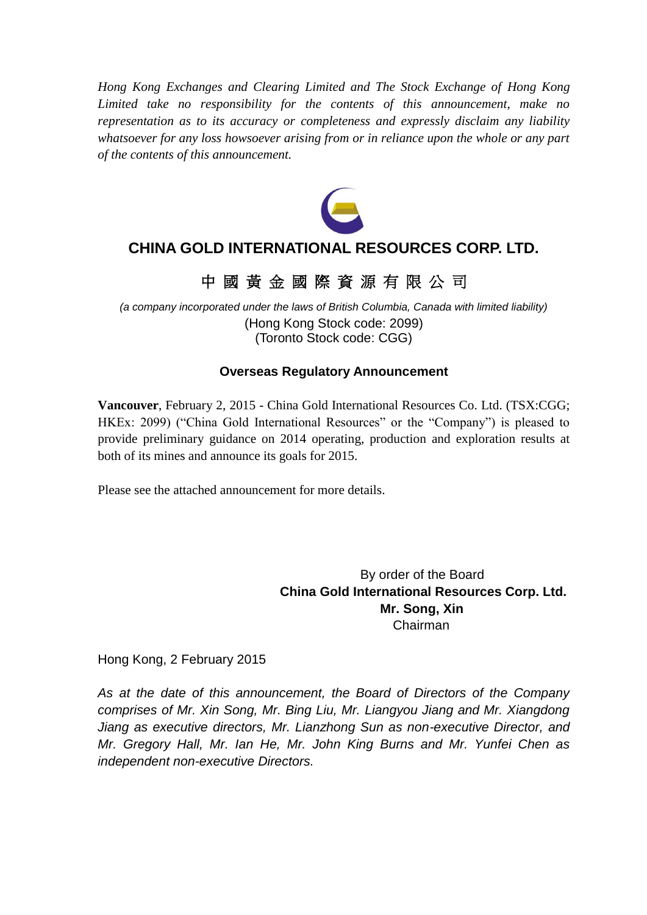*Hong Kong Exchanges and Clearing Limited and The Stock Exchange of Hong Kong Limited take no responsibility for the contents of this announcement, make no representation as to its accuracy or completeness and expressly disclaim any liability whatsoever for any loss howsoever arising from or in reliance upon the whole or any part of the contents of this announcement.*



## **CHINA GOLD INTERNATIONAL RESOURCES CORP. LTD.**

## 中 國 黃 金 國 際 資 源 有 限 公 司

*(a company incorporated under the laws of British Columbia, Canada with limited liability)* (Hong Kong Stock code: 2099) (Toronto Stock code: CGG)

### **Overseas Regulatory Announcement**

**Vancouver**, February 2, 2015 - China Gold International Resources Co. Ltd. (TSX:CGG; HKEx: 2099) ("China Gold International Resources" or the "Company") is pleased to provide preliminary guidance on 2014 operating, production and exploration results at both of its mines and announce its goals for 2015.

Please see the attached announcement for more details.

By order of the Board **China Gold International Resources Corp. Ltd. Mr. Song, Xin** Chairman

Hong Kong, 2 February 2015

*As at the date of this announcement, the Board of Directors of the Company comprises of Mr. Xin Song, Mr. Bing Liu, Mr. Liangyou Jiang and Mr. Xiangdong Jiang as executive directors, Mr. Lianzhong Sun as non-executive Director, and Mr. Gregory Hall, Mr. Ian He, Mr. John King Burns and Mr. Yunfei Chen as independent non-executive Directors.*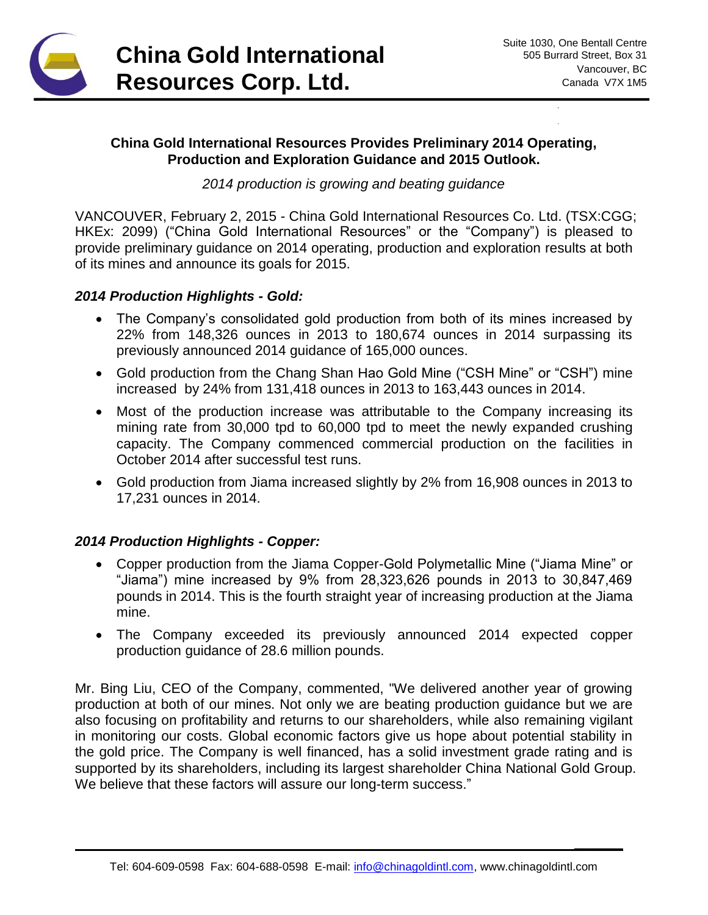

**\_\_\_\_\_\_**

#### **China Gold International Resources Provides Preliminary 2014 Operating, Production and Exploration Guidance and 2015 Outlook.**

*2014 production is growing and beating guidance*

VANCOUVER, February 2, 2015 - China Gold International Resources Co. Ltd. (TSX:CGG; HKEx: 2099) ("China Gold International Resources" or the "Company") is pleased to provide preliminary guidance on 2014 operating, production and exploration results at both of its mines and announce its goals for 2015.

#### *2014 Production Highlights - Gold:*

- The Company's consolidated gold production from both of its mines increased by 22% from 148,326 ounces in 2013 to 180,674 ounces in 2014 surpassing its previously announced 2014 guidance of 165,000 ounces.
- Gold production from the Chang Shan Hao Gold Mine ("CSH Mine" or "CSH") mine increased by 24% from 131,418 ounces in 2013 to 163,443 ounces in 2014.
- Most of the production increase was attributable to the Company increasing its mining rate from 30,000 tpd to 60,000 tpd to meet the newly expanded crushing capacity. The Company commenced commercial production on the facilities in October 2014 after successful test runs.
- Gold production from Jiama increased slightly by 2% from 16,908 ounces in 2013 to 17,231 ounces in 2014.

### *2014 Production Highlights - Copper:*

- Copper production from the Jiama Copper-Gold Polymetallic Mine ("Jiama Mine" or "Jiama") mine increased by 9% from 28,323,626 pounds in 2013 to 30,847,469 pounds in 2014. This is the fourth straight year of increasing production at the Jiama mine.
- The Company exceeded its previously announced 2014 expected copper production guidance of 28.6 million pounds.

Mr. Bing Liu, CEO of the Company, commented, "We delivered another year of growing production at both of our mines. Not only we are beating production guidance but we are also focusing on profitability and returns to our shareholders, while also remaining vigilant in monitoring our costs. Global economic factors give us hope about potential stability in the gold price. The Company is well financed, has a solid investment grade rating and is supported by its shareholders, including its largest shareholder China National Gold Group. We believe that these factors will assure our long-term success."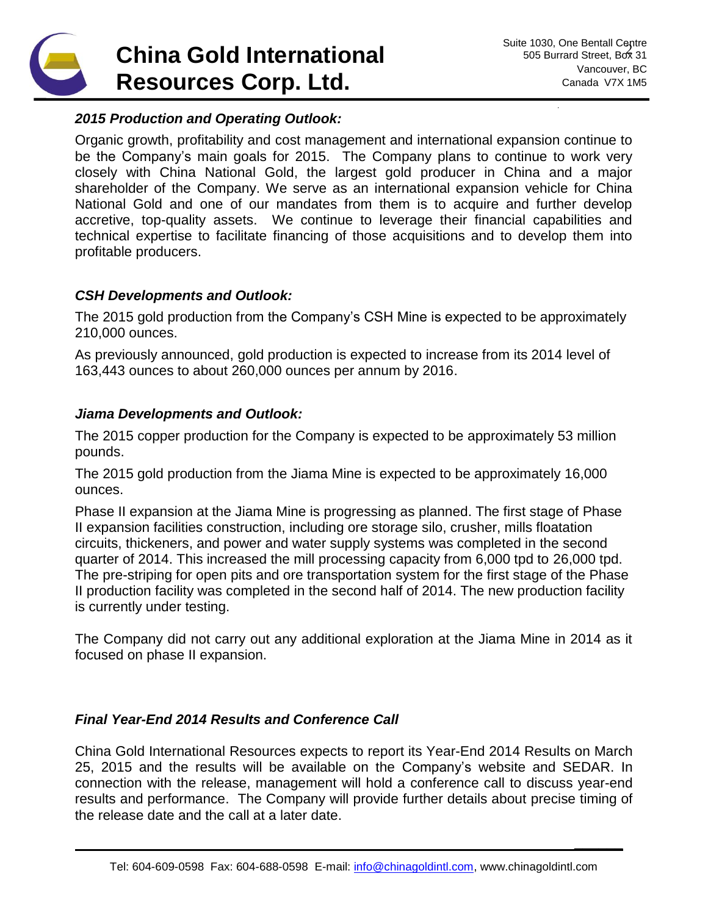# **China Gold International Resources Corp. Ltd.**

**\_\_\_\_\_\_**

#### *2015 Production and Operating Outlook:*

Organic growth, profitability and cost management and international expansion continue to be the Company's main goals for 2015. The Company plans to continue to work very closely with China National Gold, the largest gold producer in China and a major shareholder of the Company. We serve as an international expansion vehicle for China National Gold and one of our mandates from them is to acquire and further develop accretive, top-quality assets. We continue to leverage their financial capabilities and technical expertise to facilitate financing of those acquisitions and to develop them into profitable producers.

### *CSH Developments and Outlook:*

The 2015 gold production from the Company's CSH Mine is expected to be approximately 210,000 ounces.

As previously announced, gold production is expected to increase from its 2014 level of 163,443 ounces to about 260,000 ounces per annum by 2016.

#### *Jiama Developments and Outlook:*

The 2015 copper production for the Company is expected to be approximately 53 million pounds.

The 2015 gold production from the Jiama Mine is expected to be approximately 16,000 ounces.

Phase II expansion at the Jiama Mine is progressing as planned. The first stage of Phase II expansion facilities construction, including ore storage silo, crusher, mills floatation circuits, thickeners, and power and water supply systems was completed in the second quarter of 2014. This increased the mill processing capacity from 6,000 tpd to 26,000 tpd. The pre-striping for open pits and ore transportation system for the first stage of the Phase II production facility was completed in the second half of 2014. The new production facility is currently under testing.

The Company did not carry out any additional exploration at the Jiama Mine in 2014 as it focused on phase II expansion.

### *Final Year-End 2014 Results and Conference Call*

China Gold International Resources expects to report its Year-End 2014 Results on March 25, 2015 and the results will be available on the Company's website and SEDAR. In connection with the release, management will hold a conference call to discuss year-end results and performance. The Company will provide further details about precise timing of the release date and the call at a later date.